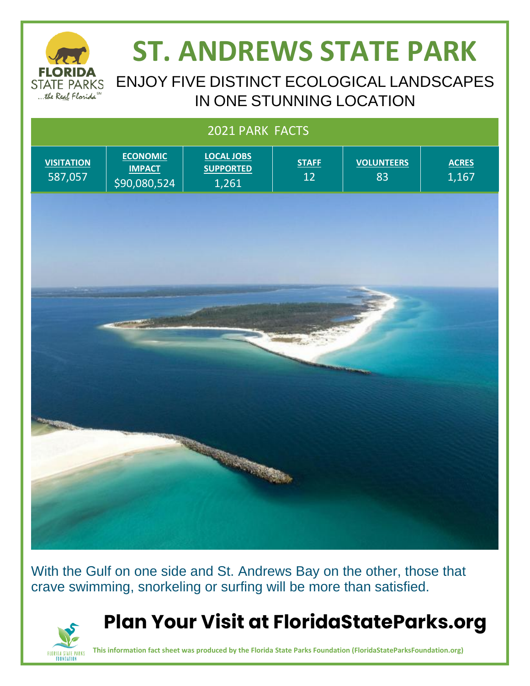

FLORIDA STATE PARKS

# **ST. ANDREWS STATE PARK**

#### ENJOY FIVE DISTINCT ECOLOGICAL LANDSCAPES IN ONE STUNNING LOCATION

## 2021 PARK FACTS **ECONOMIC LOCAL JOBS VOLUNTEERS VISITATION STAFF ACRES SUPPORTED IMPACT** 587,057 12 83 1,167 \$90,080,524 1,261 **READERS**

With the Gulf on one side and St. Andrews Bay on the other, those that crave swimming, snorkeling or surfing will be more than satisfied.



**This information fact sheet was produced by the Florida State Parks Foundation (FloridaStateParksFoundation.org)**